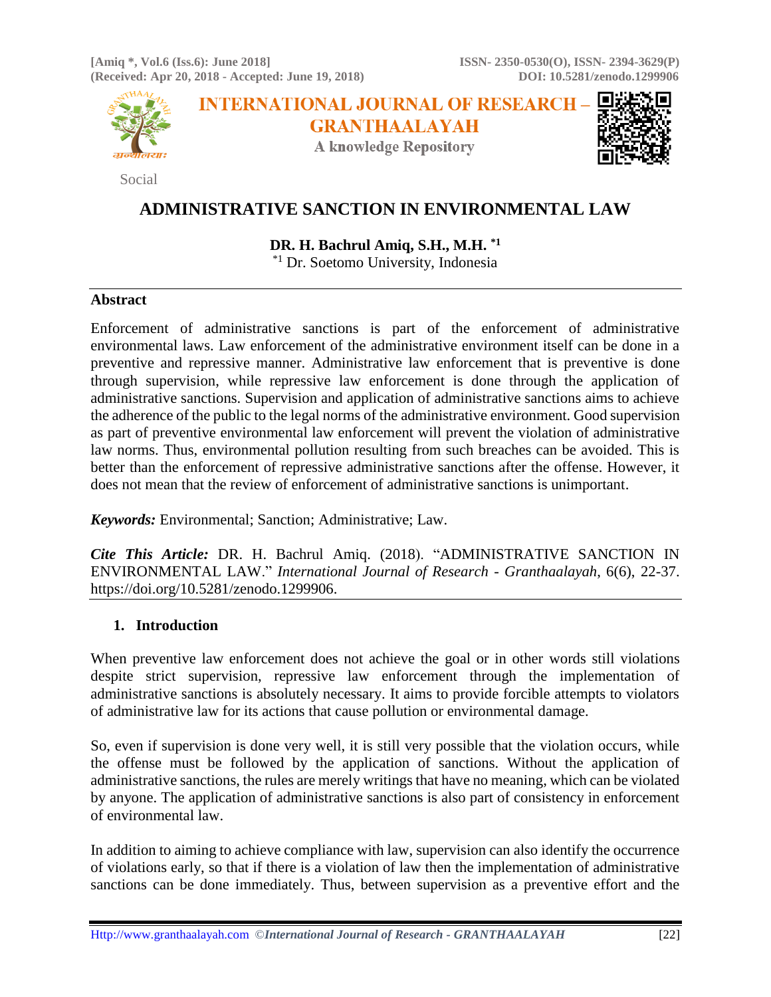**[Amiq \*, Vol.6 (Iss.6): June 2018] ISSN- 2350-0530(O), ISSN- 2394-3629(P) (Received: Apr 20, 2018 - Accepted: June 19, 2018) DOI: 10.5281/zenodo.1299906**



Social

**INTERNATIONAL JOURNAL OF RESEARCH-GRANTHAALAYAH** 

**A knowledge Repository** 



# **ADMINISTRATIVE SANCTION IN ENVIRONMENTAL LAW**

**DR. H. Bachrul Amiq, S.H., M.H. \*1**

\*1 Dr. Soetomo University, Indonesia

### **Abstract**

Enforcement of administrative sanctions is part of the enforcement of administrative environmental laws. Law enforcement of the administrative environment itself can be done in a preventive and repressive manner. Administrative law enforcement that is preventive is done through supervision, while repressive law enforcement is done through the application of administrative sanctions. Supervision and application of administrative sanctions aims to achieve the adherence of the public to the legal norms of the administrative environment. Good supervision as part of preventive environmental law enforcement will prevent the violation of administrative law norms. Thus, environmental pollution resulting from such breaches can be avoided. This is better than the enforcement of repressive administrative sanctions after the offense. However, it does not mean that the review of enforcement of administrative sanctions is unimportant.

*Keywords:* Environmental; Sanction; Administrative; Law.

*Cite This Article:* DR. H. Bachrul Amiq. (2018). "ADMINISTRATIVE SANCTION IN ENVIRONMENTAL LAW." *International Journal of Research - Granthaalayah*, 6(6), 22-37. https://doi.org/10.5281/zenodo.1299906.

# **1. Introduction**

When preventive law enforcement does not achieve the goal or in other words still violations despite strict supervision, repressive law enforcement through the implementation of administrative sanctions is absolutely necessary. It aims to provide forcible attempts to violators of administrative law for its actions that cause pollution or environmental damage.

So, even if supervision is done very well, it is still very possible that the violation occurs, while the offense must be followed by the application of sanctions. Without the application of administrative sanctions, the rules are merely writings that have no meaning, which can be violated by anyone. The application of administrative sanctions is also part of consistency in enforcement of environmental law.

In addition to aiming to achieve compliance with law, supervision can also identify the occurrence of violations early, so that if there is a violation of law then the implementation of administrative sanctions can be done immediately. Thus, between supervision as a preventive effort and the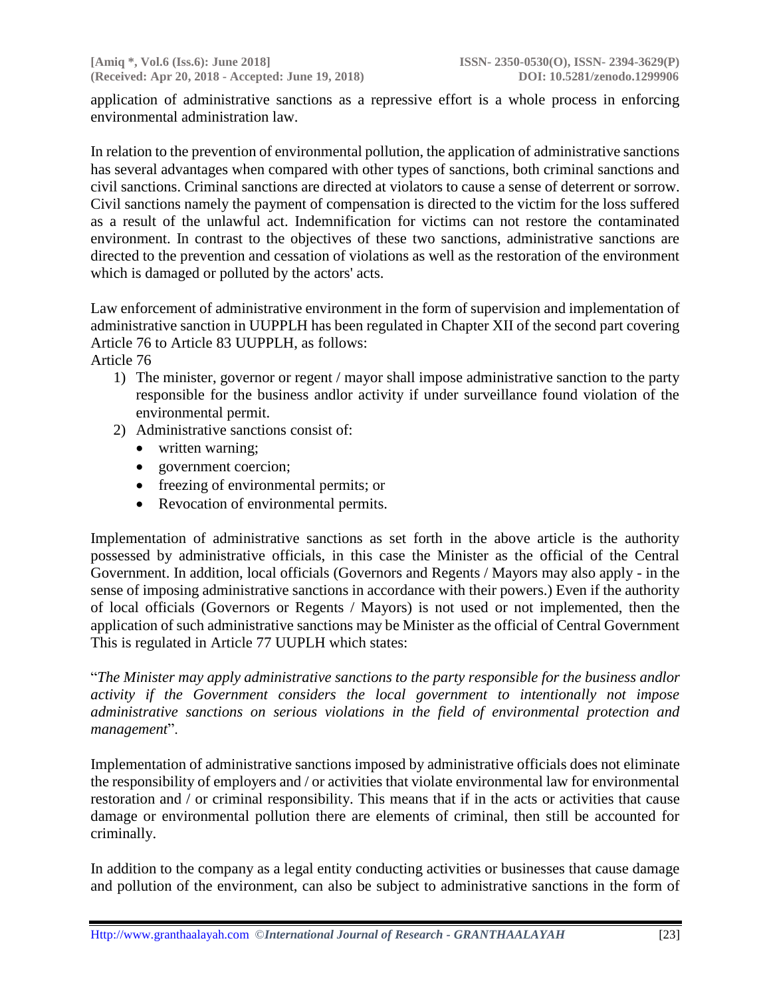application of administrative sanctions as a repressive effort is a whole process in enforcing environmental administration law.

In relation to the prevention of environmental pollution, the application of administrative sanctions has several advantages when compared with other types of sanctions, both criminal sanctions and civil sanctions. Criminal sanctions are directed at violators to cause a sense of deterrent or sorrow. Civil sanctions namely the payment of compensation is directed to the victim for the loss suffered as a result of the unlawful act. Indemnification for victims can not restore the contaminated environment. In contrast to the objectives of these two sanctions, administrative sanctions are directed to the prevention and cessation of violations as well as the restoration of the environment which is damaged or polluted by the actors' acts.

Law enforcement of administrative environment in the form of supervision and implementation of administrative sanction in UUPPLH has been regulated in Chapter XII of the second part covering Article 76 to Article 83 UUPPLH, as follows:

Article 76

- 1) The minister, governor or regent / mayor shall impose administrative sanction to the party responsible for the business andlor activity if under surveillance found violation of the environmental permit.
- 2) Administrative sanctions consist of:
	- written warning;
	- government coercion;
	- freezing of environmental permits; or
	- Revocation of environmental permits.

Implementation of administrative sanctions as set forth in the above article is the authority possessed by administrative officials, in this case the Minister as the official of the Central Government. In addition, local officials (Governors and Regents / Mayors may also apply - in the sense of imposing administrative sanctions in accordance with their powers.) Even if the authority of local officials (Governors or Regents / Mayors) is not used or not implemented, then the application of such administrative sanctions may be Minister as the official of Central Government This is regulated in Article 77 UUPLH which states:

"*The Minister may apply administrative sanctions to the party responsible for the business andlor activity if the Government considers the local government to intentionally not impose administrative sanctions on serious violations in the field of environmental protection and management*".

Implementation of administrative sanctions imposed by administrative officials does not eliminate the responsibility of employers and / or activities that violate environmental law for environmental restoration and / or criminal responsibility. This means that if in the acts or activities that cause damage or environmental pollution there are elements of criminal, then still be accounted for criminally.

In addition to the company as a legal entity conducting activities or businesses that cause damage and pollution of the environment, can also be subject to administrative sanctions in the form of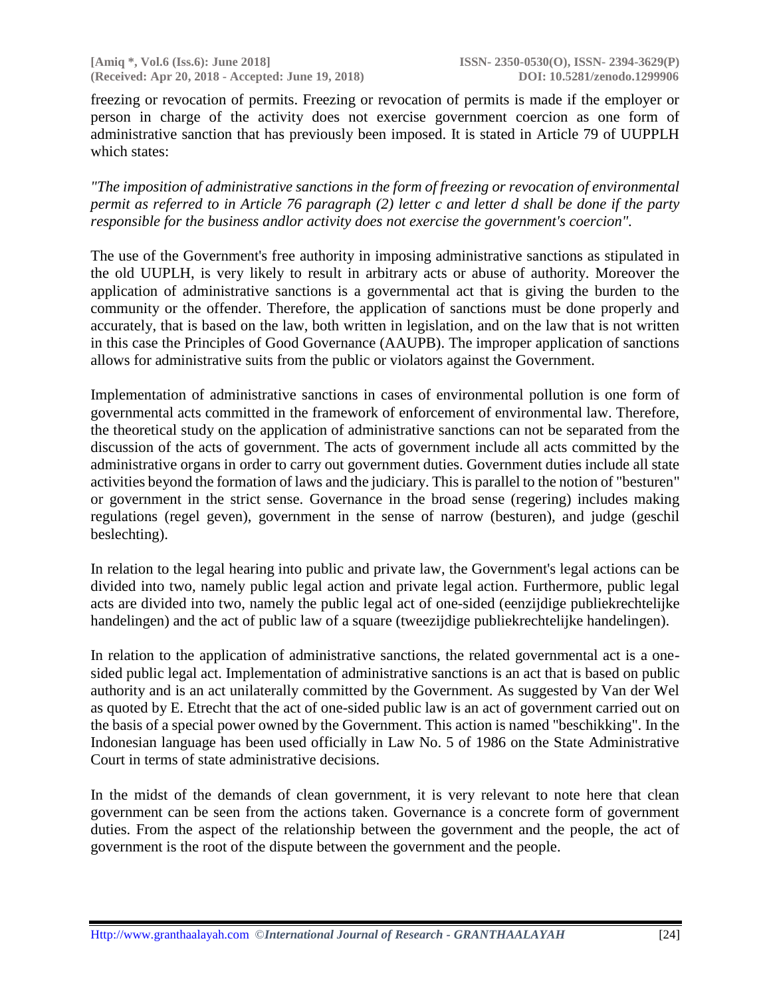freezing or revocation of permits. Freezing or revocation of permits is made if the employer or person in charge of the activity does not exercise government coercion as one form of administrative sanction that has previously been imposed. It is stated in Article 79 of UUPPLH which states:

*"The imposition of administrative sanctions in the form of freezing or revocation of environmental permit as referred to in Article 76 paragraph (2) letter c and letter d shall be done if the party responsible for the business andlor activity does not exercise the government's coercion".*

The use of the Government's free authority in imposing administrative sanctions as stipulated in the old UUPLH, is very likely to result in arbitrary acts or abuse of authority. Moreover the application of administrative sanctions is a governmental act that is giving the burden to the community or the offender. Therefore, the application of sanctions must be done properly and accurately, that is based on the law, both written in legislation, and on the law that is not written in this case the Principles of Good Governance (AAUPB). The improper application of sanctions allows for administrative suits from the public or violators against the Government.

Implementation of administrative sanctions in cases of environmental pollution is one form of governmental acts committed in the framework of enforcement of environmental law. Therefore, the theoretical study on the application of administrative sanctions can not be separated from the discussion of the acts of government. The acts of government include all acts committed by the administrative organs in order to carry out government duties. Government duties include all state activities beyond the formation of laws and the judiciary. This is parallel to the notion of "besturen" or government in the strict sense. Governance in the broad sense (regering) includes making regulations (regel geven), government in the sense of narrow (besturen), and judge (geschil beslechting).

In relation to the legal hearing into public and private law, the Government's legal actions can be divided into two, namely public legal action and private legal action. Furthermore, public legal acts are divided into two, namely the public legal act of one-sided (eenzijdige publiekrechtelijke handelingen) and the act of public law of a square (tweezijdige publiekrechtelijke handelingen).

In relation to the application of administrative sanctions, the related governmental act is a onesided public legal act. Implementation of administrative sanctions is an act that is based on public authority and is an act unilaterally committed by the Government. As suggested by Van der Wel as quoted by E. Etrecht that the act of one-sided public law is an act of government carried out on the basis of a special power owned by the Government. This action is named "beschikking". In the Indonesian language has been used officially in Law No. 5 of 1986 on the State Administrative Court in terms of state administrative decisions.

In the midst of the demands of clean government, it is very relevant to note here that clean government can be seen from the actions taken. Governance is a concrete form of government duties. From the aspect of the relationship between the government and the people, the act of government is the root of the dispute between the government and the people.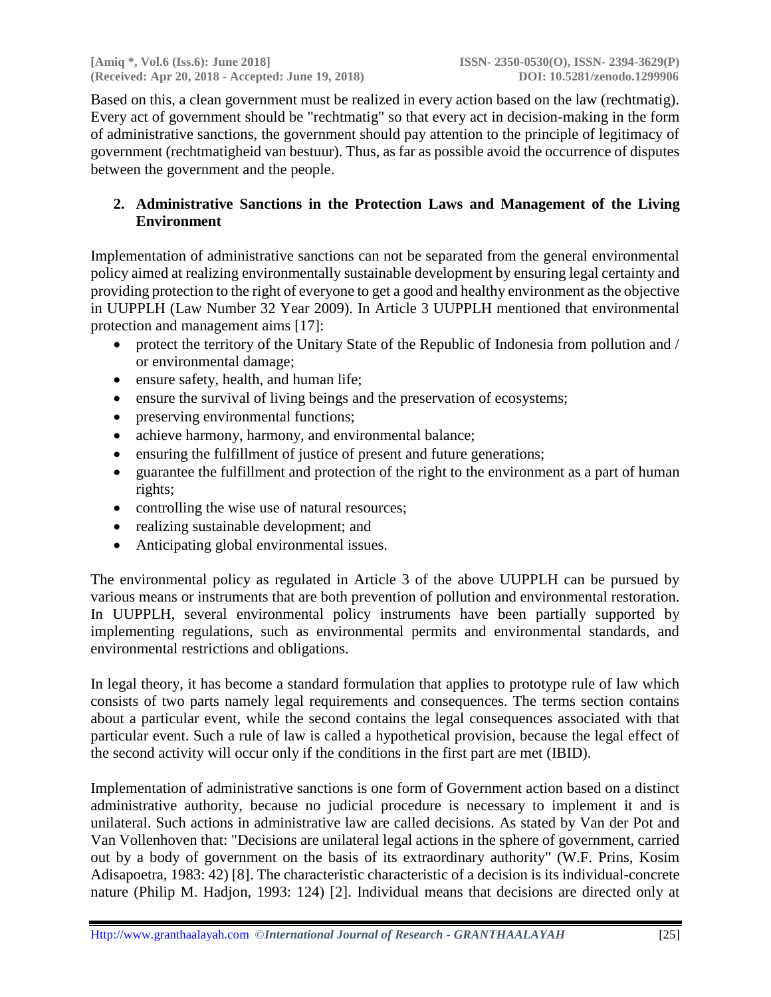Based on this, a clean government must be realized in every action based on the law (rechtmatig). Every act of government should be "rechtmatig" so that every act in decision-making in the form of administrative sanctions, the government should pay attention to the principle of legitimacy of government (rechtmatigheid van bestuur). Thus, as far as possible avoid the occurrence of disputes between the government and the people.

# **2. Administrative Sanctions in the Protection Laws and Management of the Living Environment**

Implementation of administrative sanctions can not be separated from the general environmental policy aimed at realizing environmentally sustainable development by ensuring legal certainty and providing protection to the right of everyone to get a good and healthy environment as the objective in UUPPLH (Law Number 32 Year 2009). In Article 3 UUPPLH mentioned that environmental protection and management aims [17]:

- protect the territory of the Unitary State of the Republic of Indonesia from pollution and / or environmental damage;
- ensure safety, health, and human life;
- ensure the survival of living beings and the preservation of ecosystems;
- preserving environmental functions;
- achieve harmony, harmony, and environmental balance;
- ensuring the fulfillment of justice of present and future generations;
- guarantee the fulfillment and protection of the right to the environment as a part of human rights;
- controlling the wise use of natural resources;
- realizing sustainable development; and
- Anticipating global environmental issues.

The environmental policy as regulated in Article 3 of the above UUPPLH can be pursued by various means or instruments that are both prevention of pollution and environmental restoration. In UUPPLH, several environmental policy instruments have been partially supported by implementing regulations, such as environmental permits and environmental standards, and environmental restrictions and obligations.

In legal theory, it has become a standard formulation that applies to prototype rule of law which consists of two parts namely legal requirements and consequences. The terms section contains about a particular event, while the second contains the legal consequences associated with that particular event. Such a rule of law is called a hypothetical provision, because the legal effect of the second activity will occur only if the conditions in the first part are met (IBID).

Implementation of administrative sanctions is one form of Government action based on a distinct administrative authority, because no judicial procedure is necessary to implement it and is unilateral. Such actions in administrative law are called decisions. As stated by Van der Pot and Van Vollenhoven that: "Decisions are unilateral legal actions in the sphere of government, carried out by a body of government on the basis of its extraordinary authority" (W.F. Prins, Kosim Adisapoetra, 1983: 42) [8]. The characteristic characteristic of a decision is its individual-concrete nature (Philip M. Hadjon, 1993: 124) [2]. Individual means that decisions are directed only at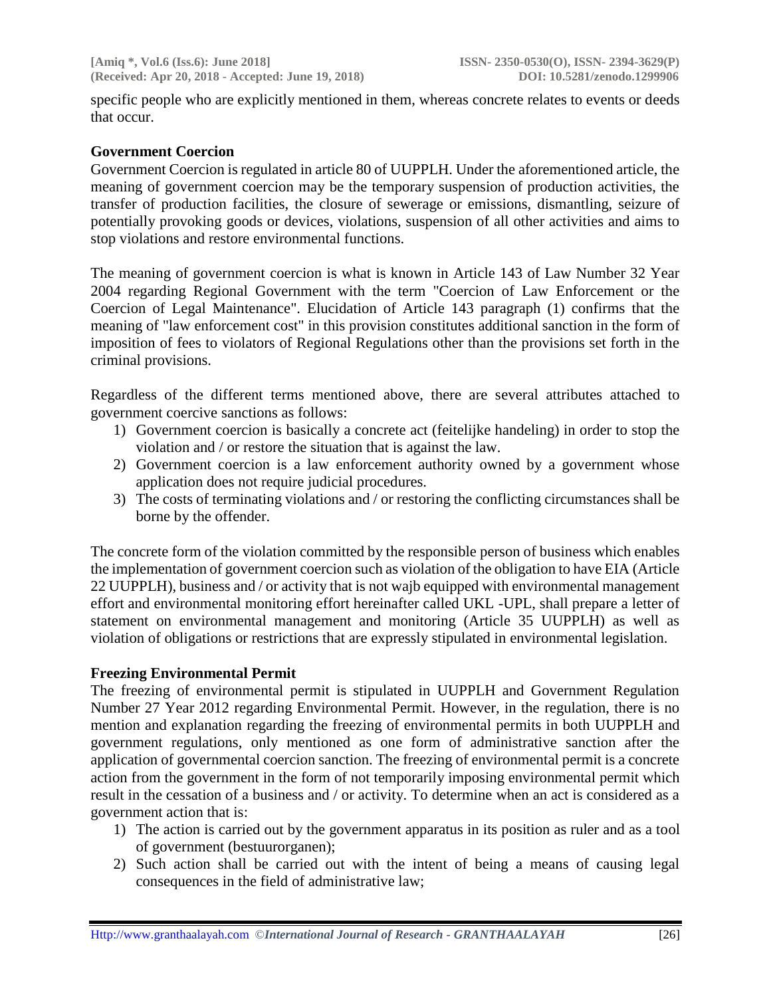specific people who are explicitly mentioned in them, whereas concrete relates to events or deeds that occur.

#### **Government Coercion**

Government Coercion is regulated in article 80 of UUPPLH. Under the aforementioned article, the meaning of government coercion may be the temporary suspension of production activities, the transfer of production facilities, the closure of sewerage or emissions, dismantling, seizure of potentially provoking goods or devices, violations, suspension of all other activities and aims to stop violations and restore environmental functions.

The meaning of government coercion is what is known in Article 143 of Law Number 32 Year 2004 regarding Regional Government with the term "Coercion of Law Enforcement or the Coercion of Legal Maintenance". Elucidation of Article 143 paragraph (1) confirms that the meaning of "law enforcement cost" in this provision constitutes additional sanction in the form of imposition of fees to violators of Regional Regulations other than the provisions set forth in the criminal provisions.

Regardless of the different terms mentioned above, there are several attributes attached to government coercive sanctions as follows:

- 1) Government coercion is basically a concrete act (feitelijke handeling) in order to stop the violation and / or restore the situation that is against the law.
- 2) Government coercion is a law enforcement authority owned by a government whose application does not require judicial procedures.
- 3) The costs of terminating violations and / or restoring the conflicting circumstances shall be borne by the offender.

The concrete form of the violation committed by the responsible person of business which enables the implementation of government coercion such as violation of the obligation to have EIA (Article 22 UUPPLH), business and / or activity that is not wajb equipped with environmental management effort and environmental monitoring effort hereinafter called UKL -UPL, shall prepare a letter of statement on environmental management and monitoring (Article 35 UUPPLH) as well as violation of obligations or restrictions that are expressly stipulated in environmental legislation.

#### **Freezing Environmental Permit**

The freezing of environmental permit is stipulated in UUPPLH and Government Regulation Number 27 Year 2012 regarding Environmental Permit. However, in the regulation, there is no mention and explanation regarding the freezing of environmental permits in both UUPPLH and government regulations, only mentioned as one form of administrative sanction after the application of governmental coercion sanction. The freezing of environmental permit is a concrete action from the government in the form of not temporarily imposing environmental permit which result in the cessation of a business and / or activity. To determine when an act is considered as a government action that is:

- 1) The action is carried out by the government apparatus in its position as ruler and as a tool of government (bestuurorganen);
- 2) Such action shall be carried out with the intent of being a means of causing legal consequences in the field of administrative law;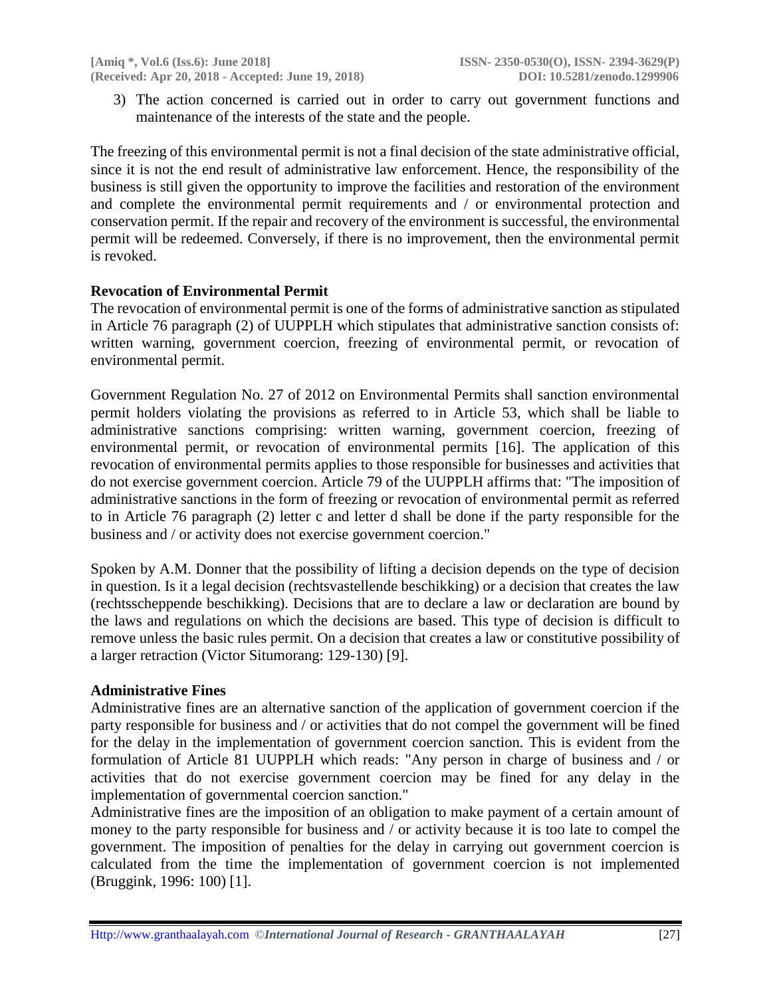3) The action concerned is carried out in order to carry out government functions and maintenance of the interests of the state and the people.

The freezing of this environmental permit is not a final decision of the state administrative official, since it is not the end result of administrative law enforcement. Hence, the responsibility of the business is still given the opportunity to improve the facilities and restoration of the environment and complete the environmental permit requirements and / or environmental protection and conservation permit. If the repair and recovery of the environment is successful, the environmental permit will be redeemed. Conversely, if there is no improvement, then the environmental permit is revoked.

### **Revocation of Environmental Permit**

The revocation of environmental permit is one of the forms of administrative sanction as stipulated in Article 76 paragraph (2) of UUPPLH which stipulates that administrative sanction consists of: written warning, government coercion, freezing of environmental permit, or revocation of environmental permit.

Government Regulation No. 27 of 2012 on Environmental Permits shall sanction environmental permit holders violating the provisions as referred to in Article 53, which shall be liable to administrative sanctions comprising: written warning, government coercion, freezing of environmental permit, or revocation of environmental permits [16]. The application of this revocation of environmental permits applies to those responsible for businesses and activities that do not exercise government coercion. Article 79 of the UUPPLH affirms that: "The imposition of administrative sanctions in the form of freezing or revocation of environmental permit as referred to in Article 76 paragraph (2) letter c and letter d shall be done if the party responsible for the business and / or activity does not exercise government coercion."

Spoken by A.M. Donner that the possibility of lifting a decision depends on the type of decision in question. Is it a legal decision (rechtsvastellende beschikking) or a decision that creates the law (rechtsscheppende beschikking). Decisions that are to declare a law or declaration are bound by the laws and regulations on which the decisions are based. This type of decision is difficult to remove unless the basic rules permit. On a decision that creates a law or constitutive possibility of a larger retraction (Victor Situmorang: 129-130) [9].

#### **Administrative Fines**

Administrative fines are an alternative sanction of the application of government coercion if the party responsible for business and / or activities that do not compel the government will be fined for the delay in the implementation of government coercion sanction. This is evident from the formulation of Article 81 UUPPLH which reads: "Any person in charge of business and / or activities that do not exercise government coercion may be fined for any delay in the implementation of governmental coercion sanction."

Administrative fines are the imposition of an obligation to make payment of a certain amount of money to the party responsible for business and / or activity because it is too late to compel the government. The imposition of penalties for the delay in carrying out government coercion is calculated from the time the implementation of government coercion is not implemented (Bruggink, 1996: 100) [1].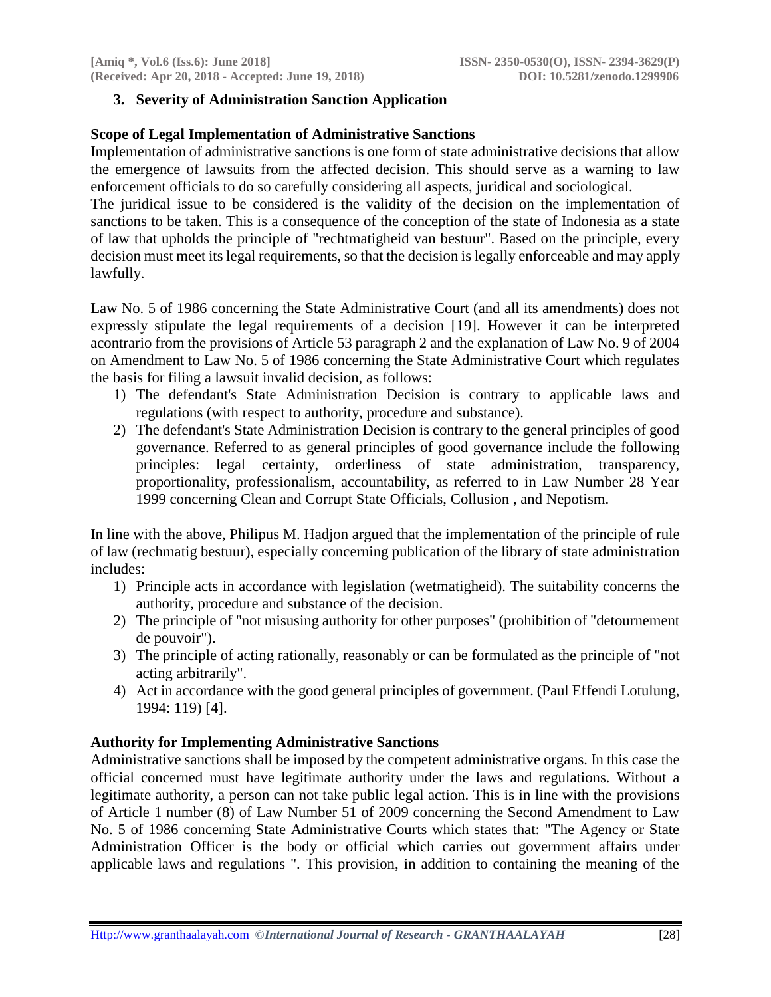# **3. Severity of Administration Sanction Application**

### **Scope of Legal Implementation of Administrative Sanctions**

Implementation of administrative sanctions is one form of state administrative decisions that allow the emergence of lawsuits from the affected decision. This should serve as a warning to law enforcement officials to do so carefully considering all aspects, juridical and sociological.

The juridical issue to be considered is the validity of the decision on the implementation of sanctions to be taken. This is a consequence of the conception of the state of Indonesia as a state of law that upholds the principle of "rechtmatigheid van bestuur". Based on the principle, every decision must meet its legal requirements, so that the decision is legally enforceable and may apply lawfully.

Law No. 5 of 1986 concerning the State Administrative Court (and all its amendments) does not expressly stipulate the legal requirements of a decision [19]. However it can be interpreted acontrario from the provisions of Article 53 paragraph 2 and the explanation of Law No. 9 of 2004 on Amendment to Law No. 5 of 1986 concerning the State Administrative Court which regulates the basis for filing a lawsuit invalid decision, as follows:

- 1) The defendant's State Administration Decision is contrary to applicable laws and regulations (with respect to authority, procedure and substance).
- 2) The defendant's State Administration Decision is contrary to the general principles of good governance. Referred to as general principles of good governance include the following principles: legal certainty, orderliness of state administration, transparency, proportionality, professionalism, accountability, as referred to in Law Number 28 Year 1999 concerning Clean and Corrupt State Officials, Collusion , and Nepotism.

In line with the above, Philipus M. Hadjon argued that the implementation of the principle of rule of law (rechmatig bestuur), especially concerning publication of the library of state administration includes:

- 1) Principle acts in accordance with legislation (wetmatigheid). The suitability concerns the authority, procedure and substance of the decision.
- 2) The principle of "not misusing authority for other purposes" (prohibition of "detournement de pouvoir").
- 3) The principle of acting rationally, reasonably or can be formulated as the principle of "not acting arbitrarily".
- 4) Act in accordance with the good general principles of government. (Paul Effendi Lotulung, 1994: 119) [4].

# **Authority for Implementing Administrative Sanctions**

Administrative sanctions shall be imposed by the competent administrative organs. In this case the official concerned must have legitimate authority under the laws and regulations. Without a legitimate authority, a person can not take public legal action. This is in line with the provisions of Article 1 number (8) of Law Number 51 of 2009 concerning the Second Amendment to Law No. 5 of 1986 concerning State Administrative Courts which states that: "The Agency or State Administration Officer is the body or official which carries out government affairs under applicable laws and regulations ". This provision, in addition to containing the meaning of the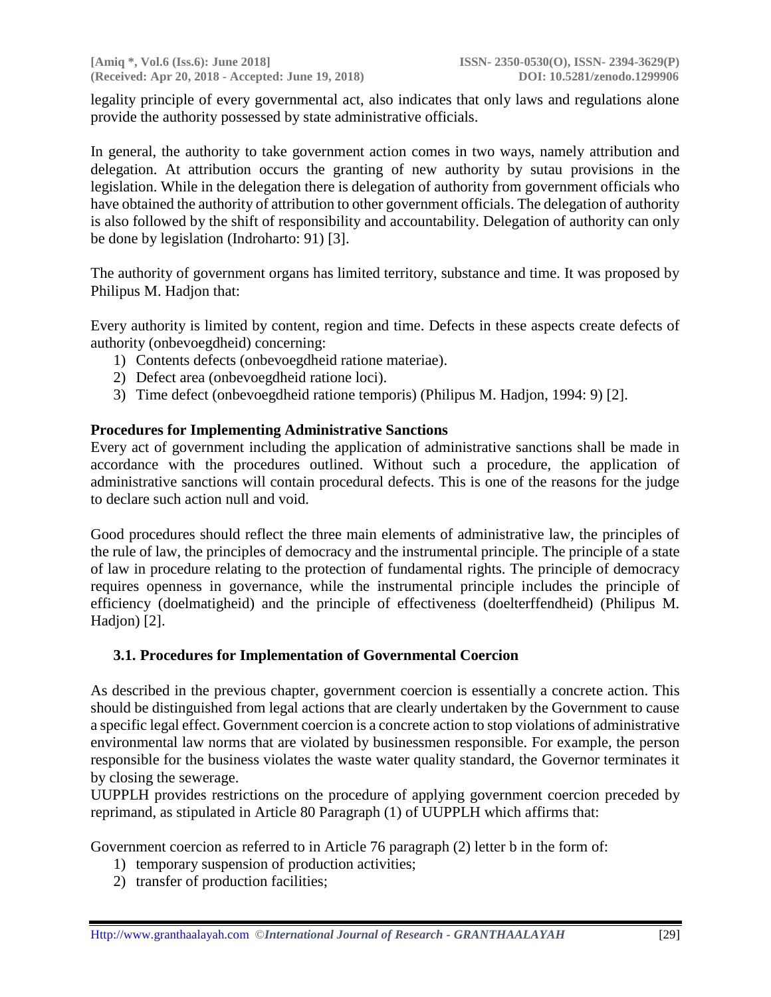legality principle of every governmental act, also indicates that only laws and regulations alone provide the authority possessed by state administrative officials.

In general, the authority to take government action comes in two ways, namely attribution and delegation. At attribution occurs the granting of new authority by sutau provisions in the legislation. While in the delegation there is delegation of authority from government officials who have obtained the authority of attribution to other government officials. The delegation of authority is also followed by the shift of responsibility and accountability. Delegation of authority can only be done by legislation (Indroharto: 91) [3].

The authority of government organs has limited territory, substance and time. It was proposed by Philipus M. Hadjon that:

Every authority is limited by content, region and time. Defects in these aspects create defects of authority (onbevoegdheid) concerning:

- 1) Contents defects (onbevoegdheid ratione materiae).
- 2) Defect area (onbevoegdheid ratione loci).
- 3) Time defect (onbevoegdheid ratione temporis) (Philipus M. Hadjon, 1994: 9) [2].

### **Procedures for Implementing Administrative Sanctions**

Every act of government including the application of administrative sanctions shall be made in accordance with the procedures outlined. Without such a procedure, the application of administrative sanctions will contain procedural defects. This is one of the reasons for the judge to declare such action null and void.

Good procedures should reflect the three main elements of administrative law, the principles of the rule of law, the principles of democracy and the instrumental principle. The principle of a state of law in procedure relating to the protection of fundamental rights. The principle of democracy requires openness in governance, while the instrumental principle includes the principle of efficiency (doelmatigheid) and the principle of effectiveness (doelterffendheid) (Philipus M. Hadjon) [2].

#### **3.1. Procedures for Implementation of Governmental Coercion**

As described in the previous chapter, government coercion is essentially a concrete action. This should be distinguished from legal actions that are clearly undertaken by the Government to cause a specific legal effect. Government coercion is a concrete action to stop violations of administrative environmental law norms that are violated by businessmen responsible. For example, the person responsible for the business violates the waste water quality standard, the Governor terminates it by closing the sewerage.

UUPPLH provides restrictions on the procedure of applying government coercion preceded by reprimand, as stipulated in Article 80 Paragraph (1) of UUPPLH which affirms that:

Government coercion as referred to in Article 76 paragraph (2) letter b in the form of:

- 1) temporary suspension of production activities;
- 2) transfer of production facilities;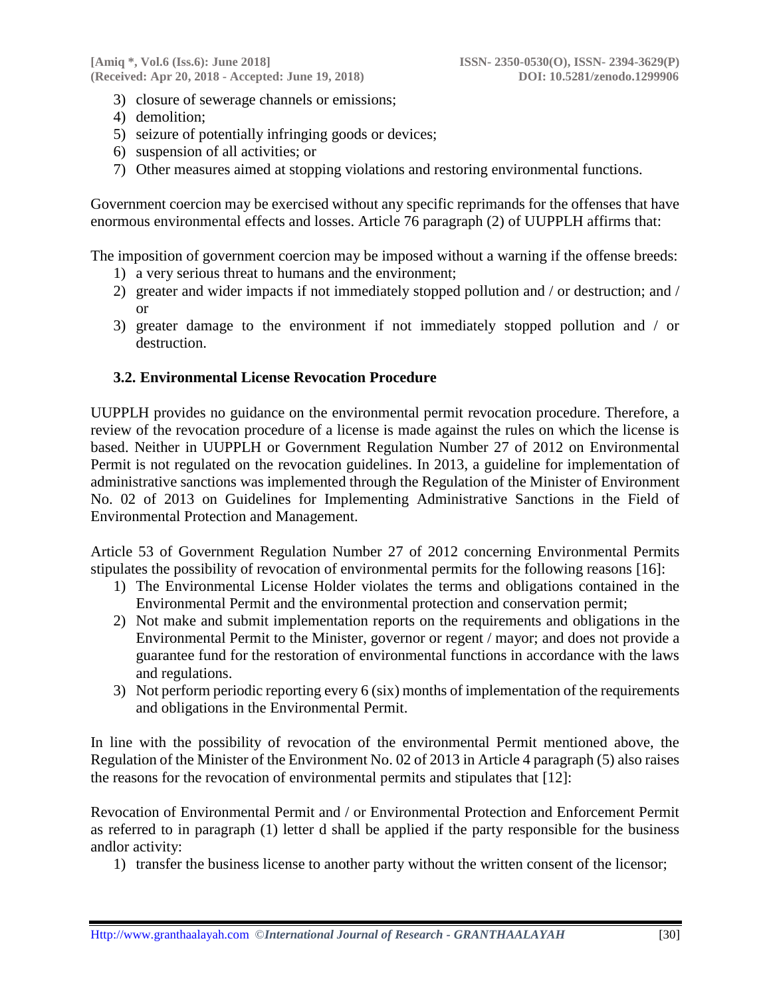- 3) closure of sewerage channels or emissions;
- 4) demolition;
- 5) seizure of potentially infringing goods or devices;
- 6) suspension of all activities; or
- 7) Other measures aimed at stopping violations and restoring environmental functions.

Government coercion may be exercised without any specific reprimands for the offenses that have enormous environmental effects and losses. Article 76 paragraph (2) of UUPPLH affirms that:

The imposition of government coercion may be imposed without a warning if the offense breeds:

- 1) a very serious threat to humans and the environment;
- 2) greater and wider impacts if not immediately stopped pollution and / or destruction; and / or
- 3) greater damage to the environment if not immediately stopped pollution and / or destruction.

### **3.2. Environmental License Revocation Procedure**

UUPPLH provides no guidance on the environmental permit revocation procedure. Therefore, a review of the revocation procedure of a license is made against the rules on which the license is based. Neither in UUPPLH or Government Regulation Number 27 of 2012 on Environmental Permit is not regulated on the revocation guidelines. In 2013, a guideline for implementation of administrative sanctions was implemented through the Regulation of the Minister of Environment No. 02 of 2013 on Guidelines for Implementing Administrative Sanctions in the Field of Environmental Protection and Management.

Article 53 of Government Regulation Number 27 of 2012 concerning Environmental Permits stipulates the possibility of revocation of environmental permits for the following reasons [16]:

- 1) The Environmental License Holder violates the terms and obligations contained in the Environmental Permit and the environmental protection and conservation permit;
- 2) Not make and submit implementation reports on the requirements and obligations in the Environmental Permit to the Minister, governor or regent / mayor; and does not provide a guarantee fund for the restoration of environmental functions in accordance with the laws and regulations.
- 3) Not perform periodic reporting every 6 (six) months of implementation of the requirements and obligations in the Environmental Permit.

In line with the possibility of revocation of the environmental Permit mentioned above, the Regulation of the Minister of the Environment No. 02 of 2013 in Article 4 paragraph (5) also raises the reasons for the revocation of environmental permits and stipulates that [12]:

Revocation of Environmental Permit and / or Environmental Protection and Enforcement Permit as referred to in paragraph (1) letter d shall be applied if the party responsible for the business andlor activity:

1) transfer the business license to another party without the written consent of the licensor;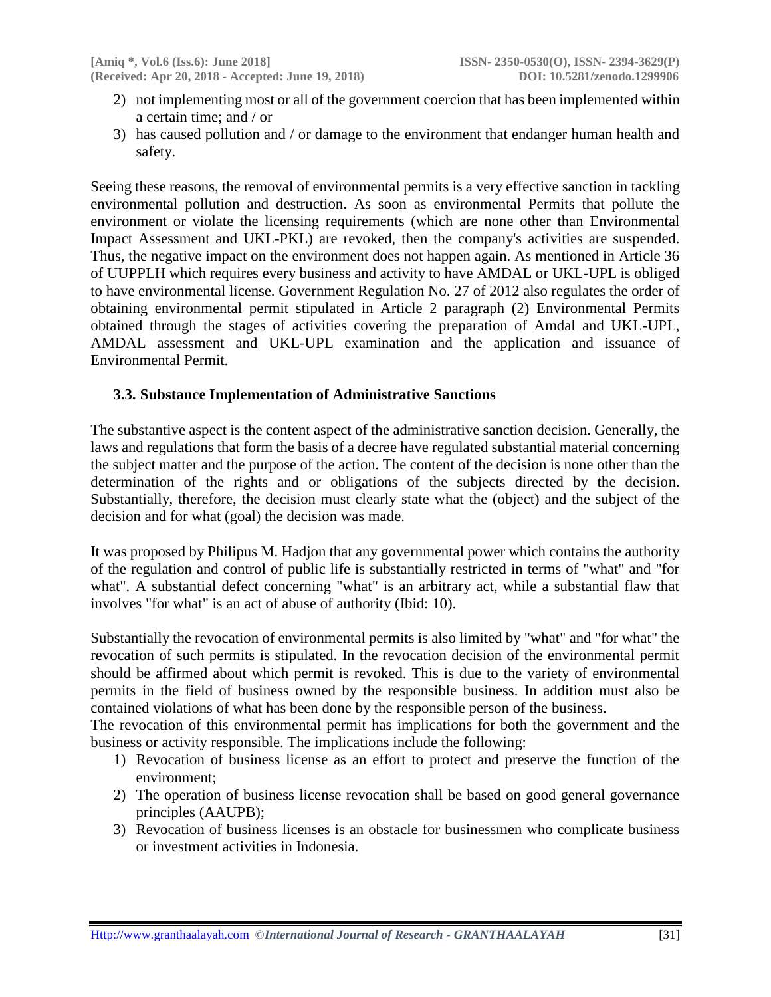- 2) not implementing most or all of the government coercion that has been implemented within a certain time; and / or
- 3) has caused pollution and / or damage to the environment that endanger human health and safety.

Seeing these reasons, the removal of environmental permits is a very effective sanction in tackling environmental pollution and destruction. As soon as environmental Permits that pollute the environment or violate the licensing requirements (which are none other than Environmental Impact Assessment and UKL-PKL) are revoked, then the company's activities are suspended. Thus, the negative impact on the environment does not happen again. As mentioned in Article 36 of UUPPLH which requires every business and activity to have AMDAL or UKL-UPL is obliged to have environmental license. Government Regulation No. 27 of 2012 also regulates the order of obtaining environmental permit stipulated in Article 2 paragraph (2) Environmental Permits obtained through the stages of activities covering the preparation of Amdal and UKL-UPL, AMDAL assessment and UKL-UPL examination and the application and issuance of Environmental Permit.

### **3.3. Substance Implementation of Administrative Sanctions**

The substantive aspect is the content aspect of the administrative sanction decision. Generally, the laws and regulations that form the basis of a decree have regulated substantial material concerning the subject matter and the purpose of the action. The content of the decision is none other than the determination of the rights and or obligations of the subjects directed by the decision. Substantially, therefore, the decision must clearly state what the (object) and the subject of the decision and for what (goal) the decision was made.

It was proposed by Philipus M. Hadjon that any governmental power which contains the authority of the regulation and control of public life is substantially restricted in terms of "what" and "for what". A substantial defect concerning "what" is an arbitrary act, while a substantial flaw that involves "for what" is an act of abuse of authority (Ibid: 10).

Substantially the revocation of environmental permits is also limited by "what" and "for what" the revocation of such permits is stipulated. In the revocation decision of the environmental permit should be affirmed about which permit is revoked. This is due to the variety of environmental permits in the field of business owned by the responsible business. In addition must also be contained violations of what has been done by the responsible person of the business.

The revocation of this environmental permit has implications for both the government and the business or activity responsible. The implications include the following:

- 1) Revocation of business license as an effort to protect and preserve the function of the environment;
- 2) The operation of business license revocation shall be based on good general governance principles (AAUPB);
- 3) Revocation of business licenses is an obstacle for businessmen who complicate business or investment activities in Indonesia.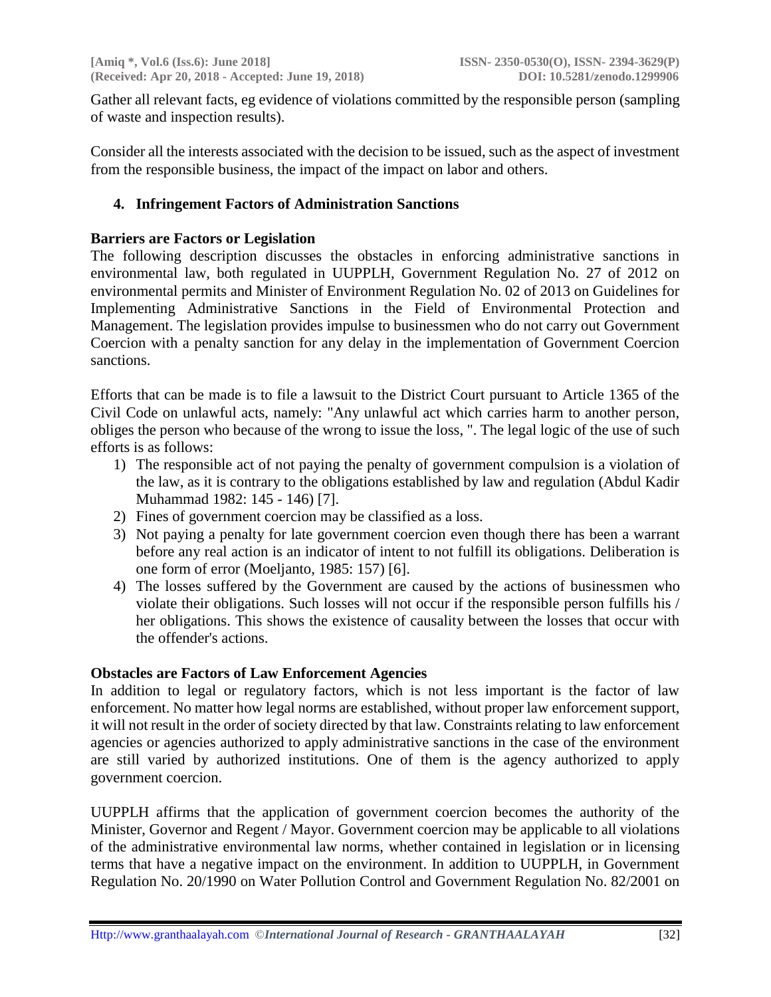Gather all relevant facts, eg evidence of violations committed by the responsible person (sampling of waste and inspection results).

Consider all the interests associated with the decision to be issued, such as the aspect of investment from the responsible business, the impact of the impact on labor and others.

### **4. Infringement Factors of Administration Sanctions**

#### **Barriers are Factors or Legislation**

The following description discusses the obstacles in enforcing administrative sanctions in environmental law, both regulated in UUPPLH, Government Regulation No. 27 of 2012 on environmental permits and Minister of Environment Regulation No. 02 of 2013 on Guidelines for Implementing Administrative Sanctions in the Field of Environmental Protection and Management. The legislation provides impulse to businessmen who do not carry out Government Coercion with a penalty sanction for any delay in the implementation of Government Coercion sanctions.

Efforts that can be made is to file a lawsuit to the District Court pursuant to Article 1365 of the Civil Code on unlawful acts, namely: "Any unlawful act which carries harm to another person, obliges the person who because of the wrong to issue the loss, ". The legal logic of the use of such efforts is as follows:

- 1) The responsible act of not paying the penalty of government compulsion is a violation of the law, as it is contrary to the obligations established by law and regulation (Abdul Kadir Muhammad 1982: 145 - 146) [7].
- 2) Fines of government coercion may be classified as a loss.
- 3) Not paying a penalty for late government coercion even though there has been a warrant before any real action is an indicator of intent to not fulfill its obligations. Deliberation is one form of error (Moeljanto, 1985: 157) [6].
- 4) The losses suffered by the Government are caused by the actions of businessmen who violate their obligations. Such losses will not occur if the responsible person fulfills his / her obligations. This shows the existence of causality between the losses that occur with the offender's actions.

#### **Obstacles are Factors of Law Enforcement Agencies**

In addition to legal or regulatory factors, which is not less important is the factor of law enforcement. No matter how legal norms are established, without proper law enforcement support, it will not result in the order of society directed by that law. Constraints relating to law enforcement agencies or agencies authorized to apply administrative sanctions in the case of the environment are still varied by authorized institutions. One of them is the agency authorized to apply government coercion.

UUPPLH affirms that the application of government coercion becomes the authority of the Minister, Governor and Regent / Mayor. Government coercion may be applicable to all violations of the administrative environmental law norms, whether contained in legislation or in licensing terms that have a negative impact on the environment. In addition to UUPPLH, in Government Regulation No. 20/1990 on Water Pollution Control and Government Regulation No. 82/2001 on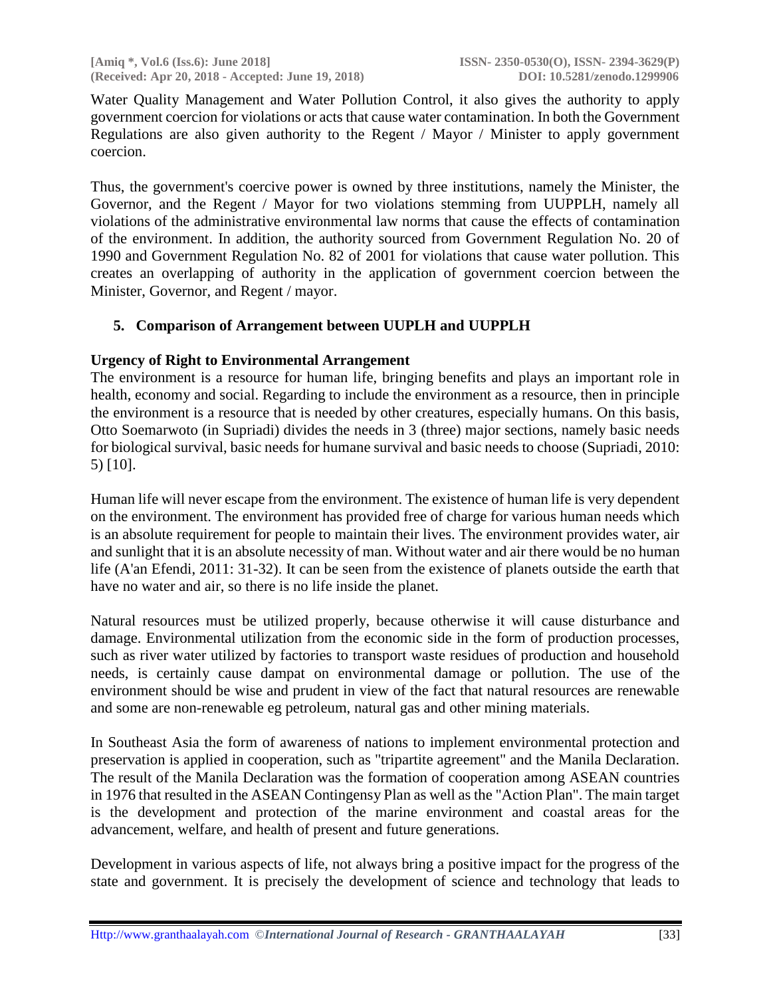Water Quality Management and Water Pollution Control, it also gives the authority to apply government coercion for violations or acts that cause water contamination. In both the Government Regulations are also given authority to the Regent / Mayor / Minister to apply government coercion.

Thus, the government's coercive power is owned by three institutions, namely the Minister, the Governor, and the Regent / Mayor for two violations stemming from UUPPLH, namely all violations of the administrative environmental law norms that cause the effects of contamination of the environment. In addition, the authority sourced from Government Regulation No. 20 of 1990 and Government Regulation No. 82 of 2001 for violations that cause water pollution. This creates an overlapping of authority in the application of government coercion between the Minister, Governor, and Regent / mayor.

# **5. Comparison of Arrangement between UUPLH and UUPPLH**

# **Urgency of Right to Environmental Arrangement**

The environment is a resource for human life, bringing benefits and plays an important role in health, economy and social. Regarding to include the environment as a resource, then in principle the environment is a resource that is needed by other creatures, especially humans. On this basis, Otto Soemarwoto (in Supriadi) divides the needs in 3 (three) major sections, namely basic needs for biological survival, basic needs for humane survival and basic needs to choose (Supriadi, 2010: 5) [10].

Human life will never escape from the environment. The existence of human life is very dependent on the environment. The environment has provided free of charge for various human needs which is an absolute requirement for people to maintain their lives. The environment provides water, air and sunlight that it is an absolute necessity of man. Without water and air there would be no human life (A'an Efendi, 2011: 31-32). It can be seen from the existence of planets outside the earth that have no water and air, so there is no life inside the planet.

Natural resources must be utilized properly, because otherwise it will cause disturbance and damage. Environmental utilization from the economic side in the form of production processes, such as river water utilized by factories to transport waste residues of production and household needs, is certainly cause dampat on environmental damage or pollution. The use of the environment should be wise and prudent in view of the fact that natural resources are renewable and some are non-renewable eg petroleum, natural gas and other mining materials.

In Southeast Asia the form of awareness of nations to implement environmental protection and preservation is applied in cooperation, such as "tripartite agreement" and the Manila Declaration. The result of the Manila Declaration was the formation of cooperation among ASEAN countries in 1976 that resulted in the ASEAN Contingensy Plan as well as the "Action Plan". The main target is the development and protection of the marine environment and coastal areas for the advancement, welfare, and health of present and future generations.

Development in various aspects of life, not always bring a positive impact for the progress of the state and government. It is precisely the development of science and technology that leads to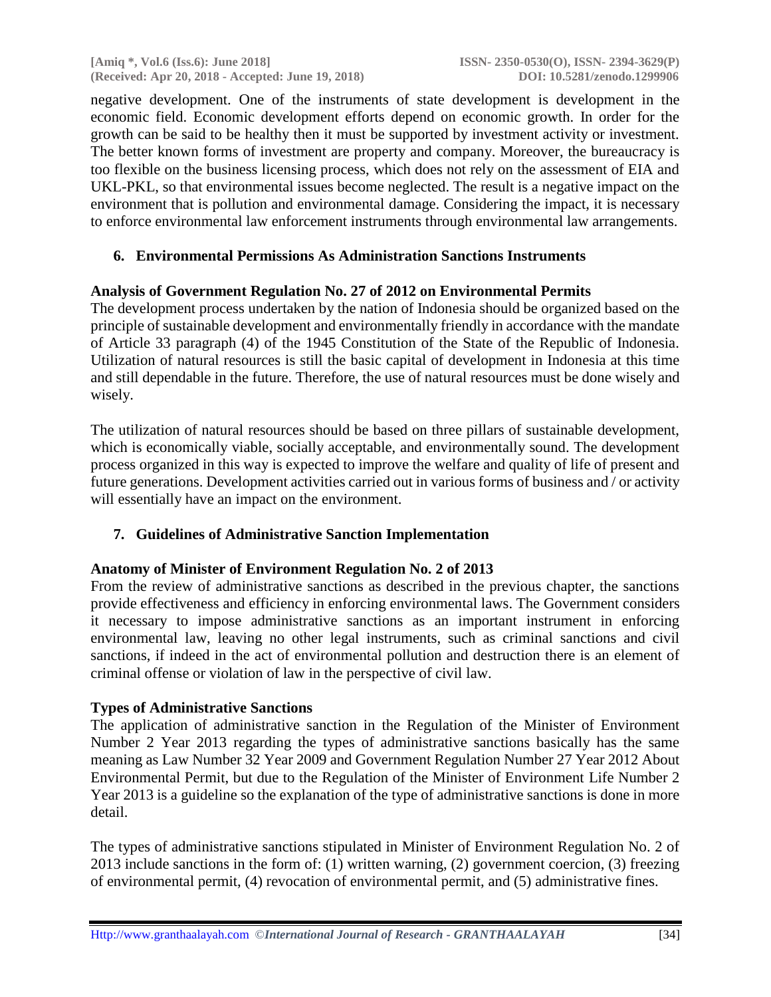negative development. One of the instruments of state development is development in the economic field. Economic development efforts depend on economic growth. In order for the growth can be said to be healthy then it must be supported by investment activity or investment. The better known forms of investment are property and company. Moreover, the bureaucracy is too flexible on the business licensing process, which does not rely on the assessment of EIA and UKL-PKL, so that environmental issues become neglected. The result is a negative impact on the environment that is pollution and environmental damage. Considering the impact, it is necessary to enforce environmental law enforcement instruments through environmental law arrangements.

# **6. Environmental Permissions As Administration Sanctions Instruments**

# **Analysis of Government Regulation No. 27 of 2012 on Environmental Permits**

The development process undertaken by the nation of Indonesia should be organized based on the principle of sustainable development and environmentally friendly in accordance with the mandate of Article 33 paragraph (4) of the 1945 Constitution of the State of the Republic of Indonesia. Utilization of natural resources is still the basic capital of development in Indonesia at this time and still dependable in the future. Therefore, the use of natural resources must be done wisely and wisely.

The utilization of natural resources should be based on three pillars of sustainable development, which is economically viable, socially acceptable, and environmentally sound. The development process organized in this way is expected to improve the welfare and quality of life of present and future generations. Development activities carried out in various forms of business and / or activity will essentially have an impact on the environment.

# **7. Guidelines of Administrative Sanction Implementation**

#### **Anatomy of Minister of Environment Regulation No. 2 of 2013**

From the review of administrative sanctions as described in the previous chapter, the sanctions provide effectiveness and efficiency in enforcing environmental laws. The Government considers it necessary to impose administrative sanctions as an important instrument in enforcing environmental law, leaving no other legal instruments, such as criminal sanctions and civil sanctions, if indeed in the act of environmental pollution and destruction there is an element of criminal offense or violation of law in the perspective of civil law.

# **Types of Administrative Sanctions**

The application of administrative sanction in the Regulation of the Minister of Environment Number 2 Year 2013 regarding the types of administrative sanctions basically has the same meaning as Law Number 32 Year 2009 and Government Regulation Number 27 Year 2012 About Environmental Permit, but due to the Regulation of the Minister of Environment Life Number 2 Year 2013 is a guideline so the explanation of the type of administrative sanctions is done in more detail.

The types of administrative sanctions stipulated in Minister of Environment Regulation No. 2 of 2013 include sanctions in the form of: (1) written warning, (2) government coercion, (3) freezing of environmental permit, (4) revocation of environmental permit, and (5) administrative fines.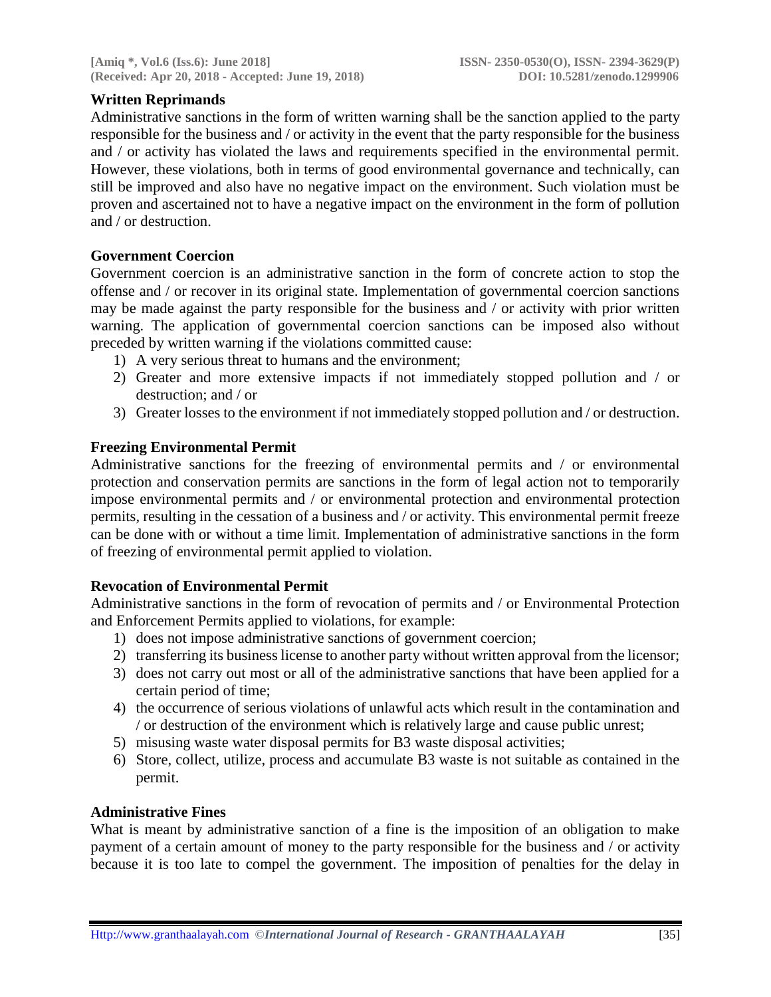# **Written Reprimands**

Administrative sanctions in the form of written warning shall be the sanction applied to the party responsible for the business and / or activity in the event that the party responsible for the business and / or activity has violated the laws and requirements specified in the environmental permit. However, these violations, both in terms of good environmental governance and technically, can still be improved and also have no negative impact on the environment. Such violation must be proven and ascertained not to have a negative impact on the environment in the form of pollution and / or destruction.

### **Government Coercion**

Government coercion is an administrative sanction in the form of concrete action to stop the offense and / or recover in its original state. Implementation of governmental coercion sanctions may be made against the party responsible for the business and / or activity with prior written warning. The application of governmental coercion sanctions can be imposed also without preceded by written warning if the violations committed cause:

- 1) A very serious threat to humans and the environment;
- 2) Greater and more extensive impacts if not immediately stopped pollution and / or destruction; and / or
- 3) Greater losses to the environment if not immediately stopped pollution and / or destruction.

### **Freezing Environmental Permit**

Administrative sanctions for the freezing of environmental permits and / or environmental protection and conservation permits are sanctions in the form of legal action not to temporarily impose environmental permits and / or environmental protection and environmental protection permits, resulting in the cessation of a business and / or activity. This environmental permit freeze can be done with or without a time limit. Implementation of administrative sanctions in the form of freezing of environmental permit applied to violation.

# **Revocation of Environmental Permit**

Administrative sanctions in the form of revocation of permits and / or Environmental Protection and Enforcement Permits applied to violations, for example:

- 1) does not impose administrative sanctions of government coercion;
- 2) transferring its business license to another party without written approval from the licensor;
- 3) does not carry out most or all of the administrative sanctions that have been applied for a certain period of time;
- 4) the occurrence of serious violations of unlawful acts which result in the contamination and / or destruction of the environment which is relatively large and cause public unrest;
- 5) misusing waste water disposal permits for B3 waste disposal activities;
- 6) Store, collect, utilize, process and accumulate B3 waste is not suitable as contained in the permit.

#### **Administrative Fines**

What is meant by administrative sanction of a fine is the imposition of an obligation to make payment of a certain amount of money to the party responsible for the business and / or activity because it is too late to compel the government. The imposition of penalties for the delay in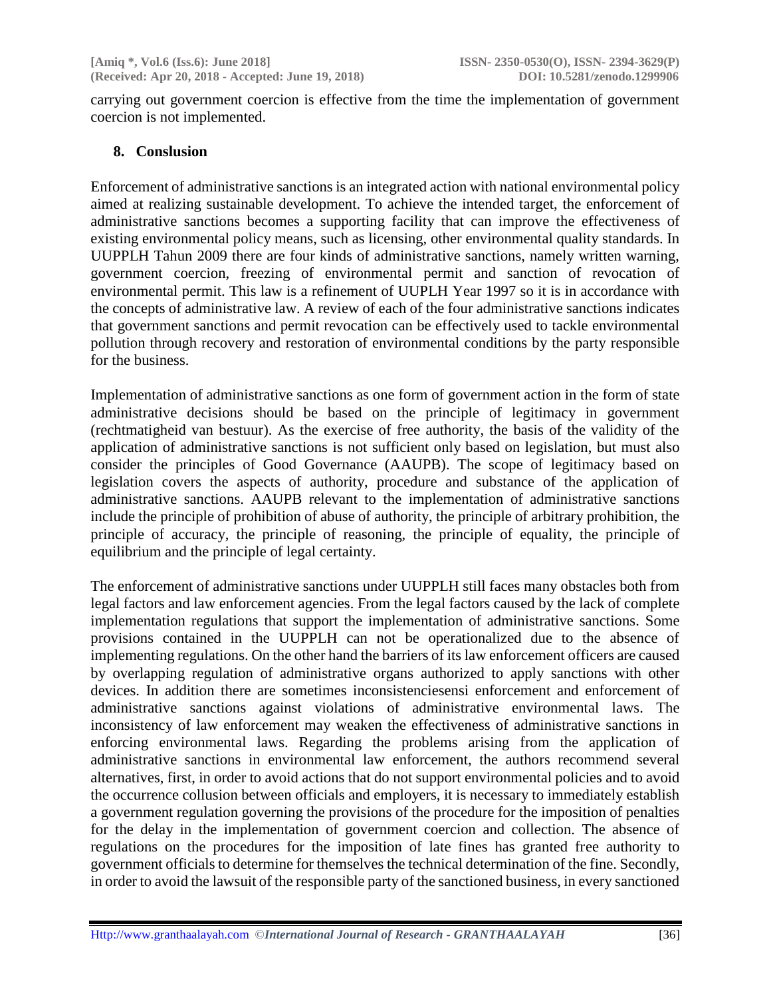carrying out government coercion is effective from the time the implementation of government coercion is not implemented.

#### **8. Conslusion**

Enforcement of administrative sanctions is an integrated action with national environmental policy aimed at realizing sustainable development. To achieve the intended target, the enforcement of administrative sanctions becomes a supporting facility that can improve the effectiveness of existing environmental policy means, such as licensing, other environmental quality standards. In UUPPLH Tahun 2009 there are four kinds of administrative sanctions, namely written warning, government coercion, freezing of environmental permit and sanction of revocation of environmental permit. This law is a refinement of UUPLH Year 1997 so it is in accordance with the concepts of administrative law. A review of each of the four administrative sanctions indicates that government sanctions and permit revocation can be effectively used to tackle environmental pollution through recovery and restoration of environmental conditions by the party responsible for the business.

Implementation of administrative sanctions as one form of government action in the form of state administrative decisions should be based on the principle of legitimacy in government (rechtmatigheid van bestuur). As the exercise of free authority, the basis of the validity of the application of administrative sanctions is not sufficient only based on legislation, but must also consider the principles of Good Governance (AAUPB). The scope of legitimacy based on legislation covers the aspects of authority, procedure and substance of the application of administrative sanctions. AAUPB relevant to the implementation of administrative sanctions include the principle of prohibition of abuse of authority, the principle of arbitrary prohibition, the principle of accuracy, the principle of reasoning, the principle of equality, the principle of equilibrium and the principle of legal certainty.

The enforcement of administrative sanctions under UUPPLH still faces many obstacles both from legal factors and law enforcement agencies. From the legal factors caused by the lack of complete implementation regulations that support the implementation of administrative sanctions. Some provisions contained in the UUPPLH can not be operationalized due to the absence of implementing regulations. On the other hand the barriers of its law enforcement officers are caused by overlapping regulation of administrative organs authorized to apply sanctions with other devices. In addition there are sometimes inconsistenciesensi enforcement and enforcement of administrative sanctions against violations of administrative environmental laws. The inconsistency of law enforcement may weaken the effectiveness of administrative sanctions in enforcing environmental laws. Regarding the problems arising from the application of administrative sanctions in environmental law enforcement, the authors recommend several alternatives, first, in order to avoid actions that do not support environmental policies and to avoid the occurrence collusion between officials and employers, it is necessary to immediately establish a government regulation governing the provisions of the procedure for the imposition of penalties for the delay in the implementation of government coercion and collection. The absence of regulations on the procedures for the imposition of late fines has granted free authority to government officials to determine for themselves the technical determination of the fine. Secondly, in order to avoid the lawsuit of the responsible party of the sanctioned business, in every sanctioned